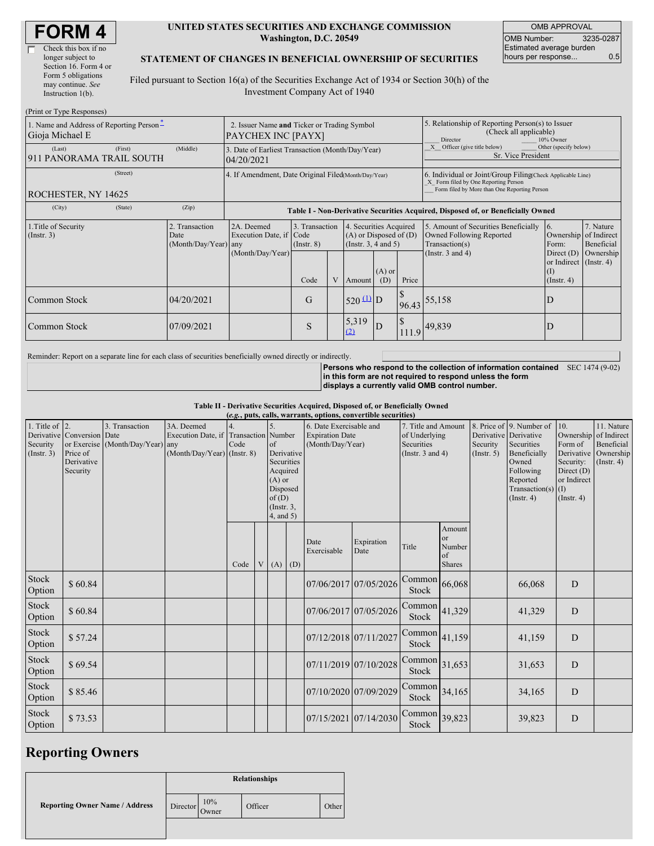| <b>FORM 4</b> |
|---------------|
|---------------|

| Check this box if no  |
|-----------------------|
| longer subject to     |
| Section 16. Form 4 or |
| Form 5 obligations    |
| may continue. See     |
| Instruction 1(b).     |
|                       |

#### **UNITED STATES SECURITIES AND EXCHANGE COMMISSION Washington, D.C. 20549**

OMB APPROVAL OMB Number: 3235-0287 Estimated average burden hours per response... 0.5

#### **STATEMENT OF CHANGES IN BENEFICIAL OWNERSHIP OF SECURITIES**

Filed pursuant to Section 16(a) of the Securities Exchange Act of 1934 or Section 30(h) of the Investment Company Act of 1940

| (Print or Type Responses)                                   |                                                                   |                                                |                                                                                  |                                   |  |                                                                              |                                                                                                     |       |                                                                                                                                                    |                                                                   |                         |  |
|-------------------------------------------------------------|-------------------------------------------------------------------|------------------------------------------------|----------------------------------------------------------------------------------|-----------------------------------|--|------------------------------------------------------------------------------|-----------------------------------------------------------------------------------------------------|-------|----------------------------------------------------------------------------------------------------------------------------------------------------|-------------------------------------------------------------------|-------------------------|--|
| 1. Name and Address of Reporting Person-<br>Gioja Michael E | 2. Issuer Name and Ticker or Trading Symbol<br>PAYCHEX INC [PAYX] |                                                |                                                                                  |                                   |  |                                                                              | 5. Relationship of Reporting Person(s) to Issuer<br>(Check all applicable)<br>10% Owner<br>Director |       |                                                                                                                                                    |                                                                   |                         |  |
| (Last)<br>911 PANORAMA TRAIL SOUTH                          | (First)                                                           | (Middle)                                       | 3. Date of Earliest Transaction (Month/Day/Year)<br>04/20/2021                   |                                   |  |                                                                              |                                                                                                     |       | X Officer (give title below)<br>Other (specify below)<br>Sr. Vice President                                                                        |                                                                   |                         |  |
| (Street)<br>ROCHESTER, NY 14625                             |                                                                   |                                                | 4. If Amendment, Date Original Filed(Month/Day/Year)                             |                                   |  |                                                                              |                                                                                                     |       | 6. Individual or Joint/Group Filing Check Applicable Line)<br>X Form filed by One Reporting Person<br>Form filed by More than One Reporting Person |                                                                   |                         |  |
| (City)                                                      | (State)                                                           | (Zip)                                          | Table I - Non-Derivative Securities Acquired, Disposed of, or Beneficially Owned |                                   |  |                                                                              |                                                                                                     |       |                                                                                                                                                    |                                                                   |                         |  |
| 1. Title of Security<br>(Insert. 3)                         |                                                                   | 2. Transaction<br>Date<br>(Month/Day/Year) any | 2A. Deemed<br>Execution Date, if Code                                            | 3. Transaction<br>$($ Instr. $8)$ |  | 4. Securities Acquired<br>$(A)$ or Disposed of $(D)$<br>(Insert. 3, 4 and 5) |                                                                                                     |       | 5. Amount of Securities Beneficially<br>Owned Following Reported<br>Transaction(s)                                                                 | 16.<br>Ownership of Indirect<br>Form:                             | 7. Nature<br>Beneficial |  |
|                                                             |                                                                   |                                                | (Month/Day/Year)                                                                 | Code                              |  | Amount                                                                       | $(A)$ or<br>(D)                                                                                     | Price | (Instr. $3$ and $4$ )                                                                                                                              | Direct $(D)$<br>or Indirect (Instr. 4)<br>(I)<br>$($ Instr. 4 $)$ | Ownership               |  |
| Common Stock                                                |                                                                   | 04/20/2021                                     |                                                                                  | G                                 |  | $520 \frac{\text{(1)}}{\text{D}}$                                            |                                                                                                     |       | 96.43 55,158                                                                                                                                       | $\mathbf{D}$                                                      |                         |  |
| Common Stock                                                |                                                                   | 07/09/2021                                     |                                                                                  | S                                 |  | 5,319<br>(2)                                                                 | D                                                                                                   |       | $111.9$ 49,839                                                                                                                                     |                                                                   |                         |  |

Reminder: Report on a separate line for each class of securities beneficially owned directly or indirectly.

**Persons who respond to the collection of information contained** SEC 1474 (9-02) **in this form are not required to respond unless the form displays a currently valid OMB control number.**

**Table II - Derivative Securities Acquired, Disposed of, or Beneficially Owned**

|                                               | (e.g., puts, calls, warrants, options, convertible securities)   |                                                    |                                                                   |                                   |  |                                                                                                                                |  |                                                                       |                                                                             |                 |                                                  |                                                                                                                                |                                                                                                         |                                                                      |  |
|-----------------------------------------------|------------------------------------------------------------------|----------------------------------------------------|-------------------------------------------------------------------|-----------------------------------|--|--------------------------------------------------------------------------------------------------------------------------------|--|-----------------------------------------------------------------------|-----------------------------------------------------------------------------|-----------------|--------------------------------------------------|--------------------------------------------------------------------------------------------------------------------------------|---------------------------------------------------------------------------------------------------------|----------------------------------------------------------------------|--|
| 1. Title of $ 2$ .<br>Security<br>(Insert. 3) | Derivative Conversion Date<br>Price of<br>Derivative<br>Security | 3. Transaction<br>or Exercise (Month/Day/Year) any | 3A. Deemed<br>Execution Date, if<br>$(Month/Day/Year)$ (Instr. 8) | <b>Transaction</b> Number<br>Code |  | 5.<br>$\sigma$<br>Derivative<br>Securities<br>Acquired<br>$(A)$ or<br>Disposed<br>of(D)<br>$($ Instr. $3$ ,<br>$4$ , and $5$ ) |  | 6. Date Exercisable and<br><b>Expiration Date</b><br>(Month/Day/Year) | 7. Title and Amount<br>of Underlying<br>Securities<br>(Instr. $3$ and $4$ ) |                 | Derivative Derivative<br>Security<br>(Insert. 5) | 8. Price of 9. Number of<br>Securities<br>Beneficially<br>Owned<br>Following<br>Reported<br>Transaction(s)<br>$($ Instr. 4 $)$ | 10.<br>Ownership of Indirect<br>Form of<br>Security:<br>Direct (D)<br>or Indirect<br>(I)<br>(Insert. 4) | 11. Nature<br>Beneficial<br>Derivative Ownership<br>$($ Instr. 4 $)$ |  |
|                                               |                                                                  |                                                    |                                                                   | Code                              |  | $V(A)$ (D)                                                                                                                     |  | Date<br>Exercisable                                                   | Expiration<br>Date                                                          | Title           | Amount<br>or<br>Number<br>of<br>Shares           |                                                                                                                                |                                                                                                         |                                                                      |  |
| Stock<br>Option                               | \$60.84                                                          |                                                    |                                                                   |                                   |  |                                                                                                                                |  |                                                                       | 07/06/2017 07/05/2026                                                       | Common<br>Stock | 66,068                                           |                                                                                                                                | 66,068                                                                                                  | D                                                                    |  |
| Stock<br>Option                               | \$60.84                                                          |                                                    |                                                                   |                                   |  |                                                                                                                                |  |                                                                       | 07/06/2017 07/05/2026                                                       | Common<br>Stock | 41,329                                           |                                                                                                                                | 41,329                                                                                                  | $\mathbf D$                                                          |  |
| Stock<br>Option                               | \$57.24                                                          |                                                    |                                                                   |                                   |  |                                                                                                                                |  | 07/12/2018 07/11/2027                                                 |                                                                             | Common<br>Stock | 41,159                                           |                                                                                                                                | 41,159                                                                                                  | D                                                                    |  |
| Stock<br>Option                               | \$69.54                                                          |                                                    |                                                                   |                                   |  |                                                                                                                                |  |                                                                       | 07/11/2019 07/10/2028                                                       | Common<br>Stock | 31,653                                           |                                                                                                                                | 31,653                                                                                                  | D                                                                    |  |
| Stock<br>Option                               | \$85.46                                                          |                                                    |                                                                   |                                   |  |                                                                                                                                |  |                                                                       | 07/10/2020 07/09/2029                                                       | Common<br>Stock | 34,165                                           |                                                                                                                                | 34,165                                                                                                  | D                                                                    |  |
| Stock<br>Option                               | \$73.53                                                          |                                                    |                                                                   |                                   |  |                                                                                                                                |  |                                                                       | 07/15/2021 07/14/2030                                                       | Common<br>Stock | 39,823                                           |                                                                                                                                | 39,823                                                                                                  | D                                                                    |  |

### **Reporting Owners**

|                                       | <b>Relationships</b> |                        |         |       |  |  |  |
|---------------------------------------|----------------------|------------------------|---------|-------|--|--|--|
| <b>Reporting Owner Name / Address</b> | Director             | $10\%$<br><b>Owner</b> | Officer | Other |  |  |  |
|                                       |                      |                        |         |       |  |  |  |